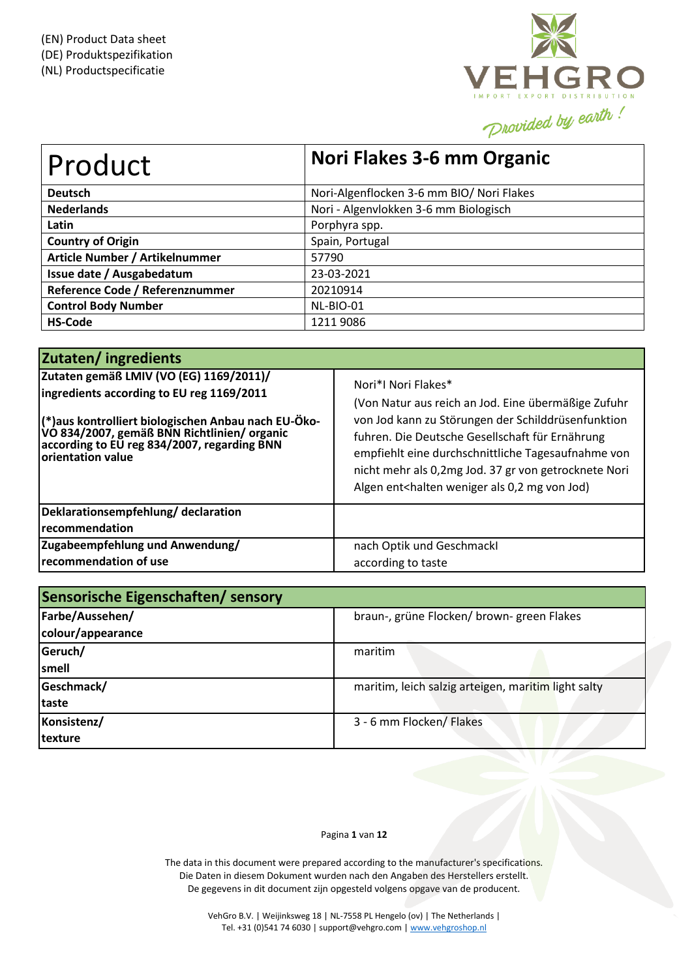

| Product                         | Nori Flakes 3-6 mm Organic                |
|---------------------------------|-------------------------------------------|
| <b>Deutsch</b>                  | Nori-Algenflocken 3-6 mm BIO/ Nori Flakes |
| <b>Nederlands</b>               | Nori - Algenvlokken 3-6 mm Biologisch     |
| Latin                           | Porphyra spp.                             |
| <b>Country of Origin</b>        | Spain, Portugal                           |
| Article Number / Artikelnummer  | 57790                                     |
| Issue date / Ausgabedatum       | 23-03-2021                                |
| Reference Code / Referenznummer | 20210914                                  |
| <b>Control Body Number</b>      | NL-BIO-01                                 |
| <b>HS-Code</b>                  | 12119086                                  |

| Zutaten/ingredients                                                                                                                                                                                                                                              |                                                                                                                                                                                                                                                                                                                                                                                       |
|------------------------------------------------------------------------------------------------------------------------------------------------------------------------------------------------------------------------------------------------------------------|---------------------------------------------------------------------------------------------------------------------------------------------------------------------------------------------------------------------------------------------------------------------------------------------------------------------------------------------------------------------------------------|
| Zutaten gemäß LMIV (VO (EG) 1169/2011)/<br>ingredients according to EU reg 1169/2011<br> (*)aus kontrolliert biologischen Anbau nach EU-Öko-<br> VO 834/2007, gemäß BNN Richtlinien/ organic<br>according to EU reg 834/2007, regarding BNN<br>orientation value | Nori*I Nori Flakes*<br>(Von Natur aus reich an Jod. Eine übermäßige Zufuhr<br>von Jod kann zu Störungen der Schilddrüsenfunktion<br>fuhren. Die Deutsche Gesellschaft für Ernährung<br>empfiehlt eine durchschnittliche Tagesaufnahme von<br>nicht mehr als 0,2mg Jod. 37 gr von getrocknete Nori<br>Algen ent <halten 0,2="" als="" jod)<="" mg="" th="" von="" weniger=""></halten> |
| Deklarationsempfehlung/declaration<br>recommendation                                                                                                                                                                                                             |                                                                                                                                                                                                                                                                                                                                                                                       |
| Zugabeempfehlung und Anwendung/<br>recommendation of use                                                                                                                                                                                                         | nach Optik und Geschmackl<br>according to taste                                                                                                                                                                                                                                                                                                                                       |

| Sensorische Eigenschaften/ sensory |                                                     |  |  |  |  |
|------------------------------------|-----------------------------------------------------|--|--|--|--|
| Farbe/Aussehen/                    | braun-, grüne Flocken/ brown- green Flakes          |  |  |  |  |
| colour/appearance                  |                                                     |  |  |  |  |
| Geruch/                            | maritim                                             |  |  |  |  |
| smell                              |                                                     |  |  |  |  |
| Geschmack/                         | maritim, leich salzig arteigen, maritim light salty |  |  |  |  |
| taste                              |                                                     |  |  |  |  |
| Konsistenz/                        | 3 - 6 mm Flocken/ Flakes                            |  |  |  |  |
| texture                            |                                                     |  |  |  |  |

### Pagina **1** van **12**

The data in this document were prepared according to the manufacturer's specifications. Die Daten in diesem Dokument wurden nach den Angaben des Herstellers erstellt. De gegevens in dit document zijn opgesteld volgens opgave van de producent.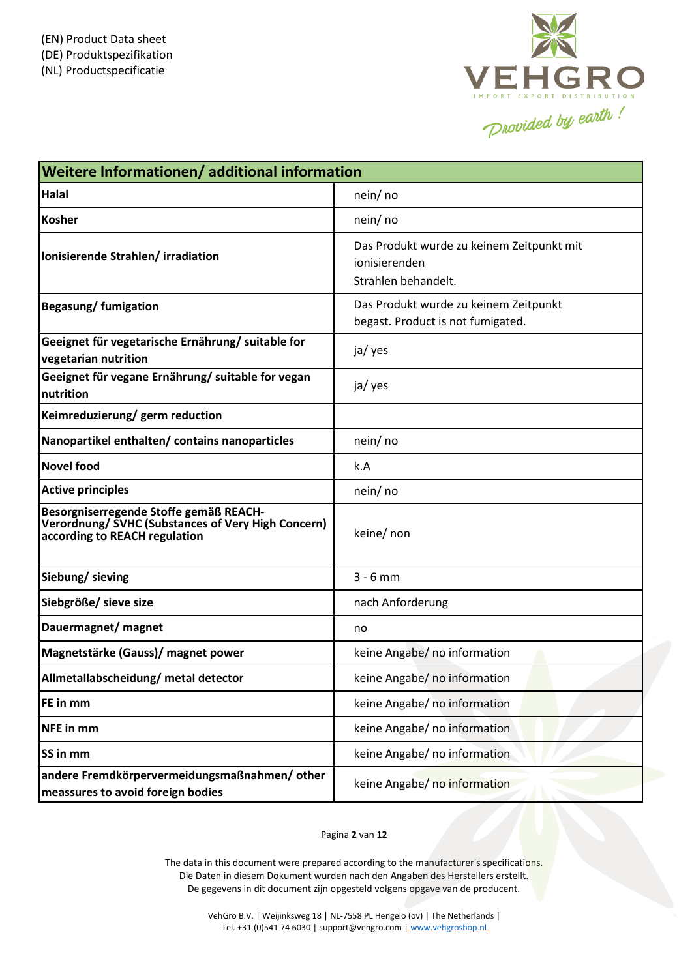

| Weitere Informationen/additional information                                                                                  |                                                                                   |  |  |  |  |
|-------------------------------------------------------------------------------------------------------------------------------|-----------------------------------------------------------------------------------|--|--|--|--|
| <b>Halal</b>                                                                                                                  | nein/no                                                                           |  |  |  |  |
| <b>Kosher</b>                                                                                                                 | nein/ no                                                                          |  |  |  |  |
| Ionisierende Strahlen/irradiation                                                                                             | Das Produkt wurde zu keinem Zeitpunkt mit<br>ionisierenden<br>Strahlen behandelt. |  |  |  |  |
| Begasung/fumigation                                                                                                           | Das Produkt wurde zu keinem Zeitpunkt<br>begast. Product is not fumigated.        |  |  |  |  |
| Geeignet für vegetarische Ernährung/ suitable for<br>vegetarian nutrition                                                     | ja/ yes                                                                           |  |  |  |  |
| Geeignet für vegane Ernährung/ suitable for vegan<br>nutrition                                                                | ja/ yes                                                                           |  |  |  |  |
| Keimreduzierung/germ reduction                                                                                                |                                                                                   |  |  |  |  |
| Nanopartikel enthalten/ contains nanoparticles                                                                                | nein/ no                                                                          |  |  |  |  |
| <b>Novel food</b>                                                                                                             | k.A                                                                               |  |  |  |  |
| <b>Active principles</b>                                                                                                      | nein/ no                                                                          |  |  |  |  |
| Besorgniserregende Stoffe gemäß REACH-<br>Verordnung/ SVHC (Substances of Very High Concern)<br>according to REACH regulation | keine/ non                                                                        |  |  |  |  |
| Siebung/ sieving                                                                                                              | $3 - 6$ mm                                                                        |  |  |  |  |
| Siebgröße/ sieve size                                                                                                         | nach Anforderung                                                                  |  |  |  |  |
| Dauermagnet/ magnet                                                                                                           | no                                                                                |  |  |  |  |
| Magnetstärke (Gauss)/ magnet power                                                                                            | keine Angabe/ no information                                                      |  |  |  |  |
| Allmetallabscheidung/ metal detector                                                                                          | keine Angabe/ no information                                                      |  |  |  |  |
| FE in mm                                                                                                                      | keine Angabe/ no information                                                      |  |  |  |  |
| <b>NFE</b> in mm                                                                                                              | keine Angabe/ no information                                                      |  |  |  |  |
| SS in mm                                                                                                                      | keine Angabe/ no information                                                      |  |  |  |  |
| andere Fremdkörpervermeidungsmaßnahmen/other<br>meassures to avoid foreign bodies                                             | keine Angabe/ no information                                                      |  |  |  |  |

# Pagina **2** van **12**

The data in this document were prepared according to the manufacturer's specifications. Die Daten in diesem Dokument wurden nach den Angaben des Herstellers erstellt. De gegevens in dit document zijn opgesteld volgens opgave van de producent.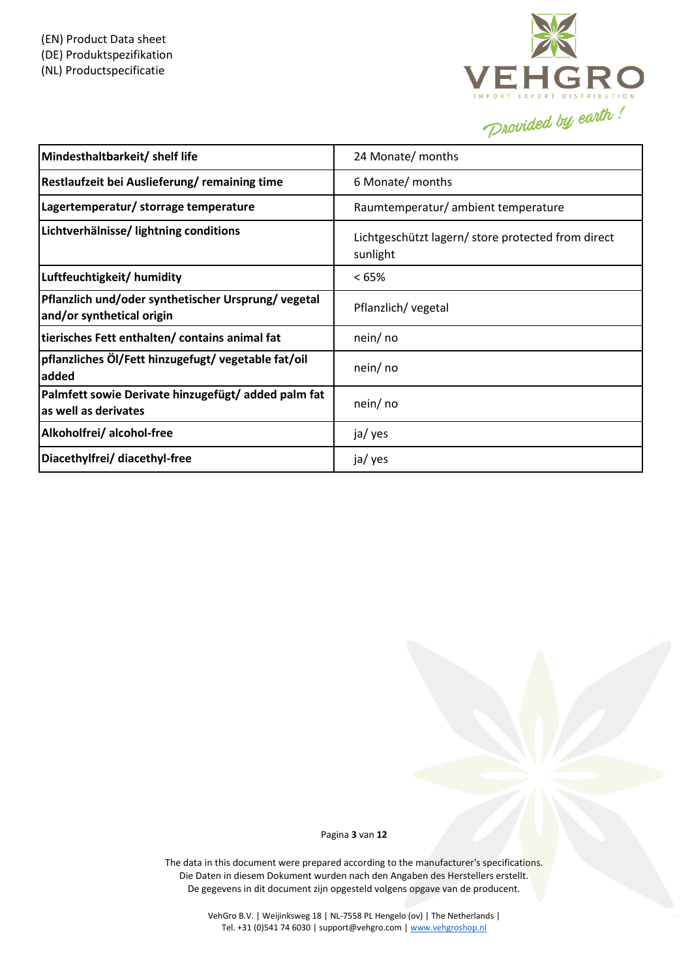

| Mindesthaltbarkeit/ shelf life                                                   | 24 Monate/ months                                              |
|----------------------------------------------------------------------------------|----------------------------------------------------------------|
| Restlaufzeit bei Auslieferung/remaining time                                     | 6 Monate/ months                                               |
| Lagertemperatur/ storrage temperature                                            | Raumtemperatur/ ambient temperature                            |
| Lichtverhälnisse/ lightning conditions                                           | Lichtgeschützt lagern/ store protected from direct<br>sunlight |
| Luftfeuchtigkeit/ humidity                                                       | <65%                                                           |
| Pflanzlich und/oder synthetischer Ursprung/ vegetal<br>and/or synthetical origin | Pflanzlich/ vegetal                                            |
| tierisches Fett enthalten/ contains animal fat                                   | nein/ no                                                       |
| pflanzliches Öl/Fett hinzugefugt/vegetable fat/oil<br>added                      | nein/ no                                                       |
| Palmfett sowie Derivate hinzugefügt/ added palm fat<br>as well as derivates      | nein/ no                                                       |
| Alkoholfrei/ alcohol-free                                                        | ja/ yes                                                        |
| Diacethylfrei/ diacethyl-free                                                    | ja/ yes                                                        |

Pagina **3** van **12**

The data in this document were prepared according to the manufacturer's specifications. Die Daten in diesem Dokument wurden nach den Angaben des Herstellers erstellt. De gegevens in dit document zijn opgesteld volgens opgave van de producent.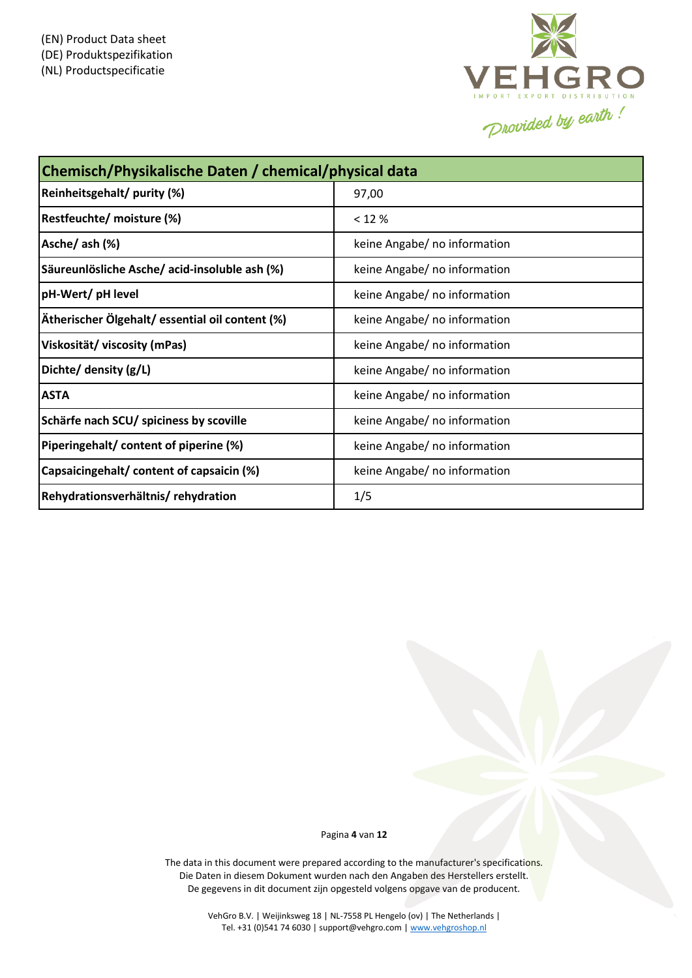

| Chemisch/Physikalische Daten / chemical/physical data |                              |  |  |  |
|-------------------------------------------------------|------------------------------|--|--|--|
| Reinheitsgehalt/ purity (%)                           | 97,00                        |  |  |  |
| Restfeuchte/ moisture (%)                             | $< 12 \%$                    |  |  |  |
| Asche/ ash (%)                                        | keine Angabe/ no information |  |  |  |
| Säureunlösliche Asche/ acid-insoluble ash (%)         | keine Angabe/ no information |  |  |  |
| pH-Wert/ pH level                                     | keine Angabe/ no information |  |  |  |
| Ätherischer Ölgehalt/ essential oil content (%)       | keine Angabe/ no information |  |  |  |
| Viskosität/ viscosity (mPas)                          | keine Angabe/ no information |  |  |  |
| Dichte/ density (g/L)                                 | keine Angabe/ no information |  |  |  |
| <b>ASTA</b>                                           | keine Angabe/ no information |  |  |  |
| Schärfe nach SCU/ spiciness by scoville               | keine Angabe/ no information |  |  |  |
| Piperingehalt/ content of piperine (%)                | keine Angabe/ no information |  |  |  |
| Capsaicingehalt/ content of capsaicin (%)             | keine Angabe/ no information |  |  |  |
| Rehydrationsverhältnis/rehydration                    | 1/5                          |  |  |  |

Pagina **4** van **12**

The data in this document were prepared according to the manufacturer's specifications. Die Daten in diesem Dokument wurden nach den Angaben des Herstellers erstellt. De gegevens in dit document zijn opgesteld volgens opgave van de producent.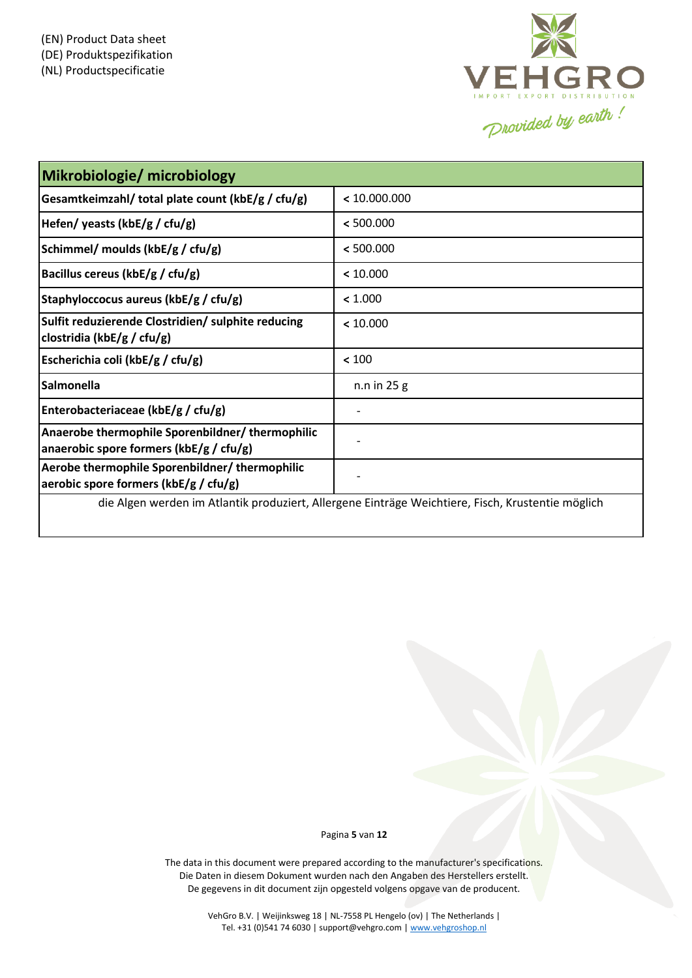

| Mikrobiologie/ microbiology                                                                       |               |  |  |  |
|---------------------------------------------------------------------------------------------------|---------------|--|--|--|
| Gesamtkeimzahl/ total plate count (kbE/g / cfu/g)                                                 | < 10.000.000  |  |  |  |
| Hefen/ yeasts (kbE/g / cfu/g)                                                                     | < 500.000     |  |  |  |
| Schimmel/ moulds (kbE/g / cfu/g)                                                                  | < 500.000     |  |  |  |
| Bacillus cereus (kbE/g / cfu/g)                                                                   | < 10.000      |  |  |  |
| Staphyloccocus aureus (kbE/g / cfu/g)                                                             | < 1.000       |  |  |  |
| Sulfit reduzierende Clostridien/ sulphite reducing<br>clostridia (kbE/g / cfu/g)                  | < 10.000      |  |  |  |
| Escherichia coli (kbE/g / cfu/g)                                                                  | < 100         |  |  |  |
| Salmonella                                                                                        | $n.n$ in 25 g |  |  |  |
| Enterobacteriaceae (kbE/g / cfu/g)                                                                |               |  |  |  |
| Anaerobe thermophile Sporenbildner/ thermophilic<br>anaerobic spore formers ( $k$ bE/g / cfu/g)   |               |  |  |  |
| Aerobe thermophile Sporenbildner/thermophilic<br>aerobic spore formers ( $k$ bE/g / cfu/g)        |               |  |  |  |
| die Algen werden im Atlantik produziert, Allergene Einträge Weichtiere, Fisch, Krustentie möglich |               |  |  |  |

Pagina **5** van **12**

The data in this document were prepared according to the manufacturer's specifications. Die Daten in diesem Dokument wurden nach den Angaben des Herstellers erstellt. De gegevens in dit document zijn opgesteld volgens opgave van de producent.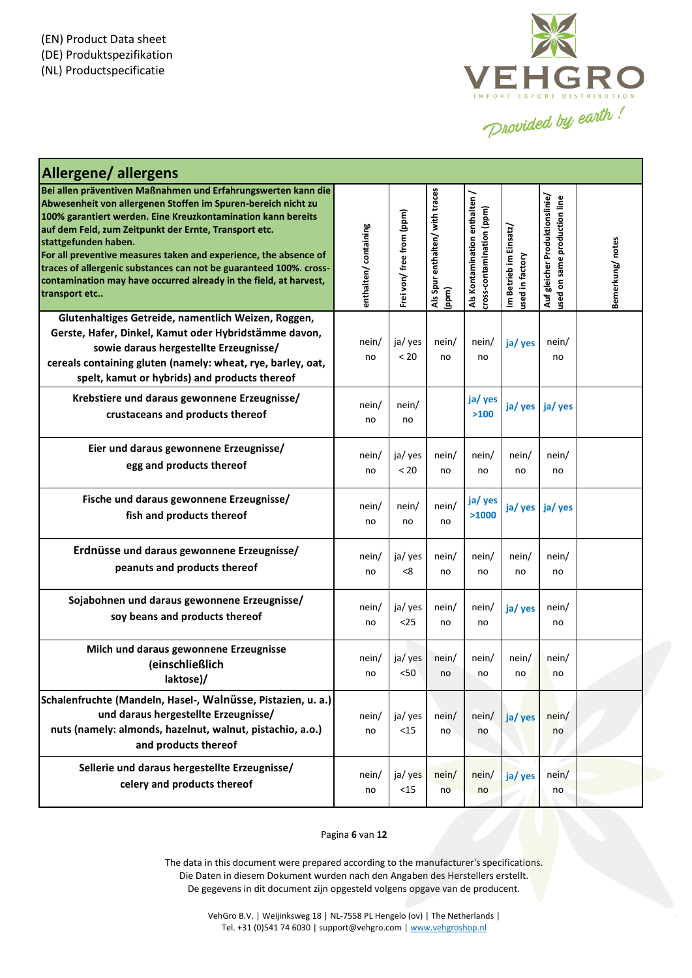

| <b>Allergene/allergens</b>                                                                                                                                                                                                                                                                                                                                                                                                                                                                                      |                      |                           |                                          |                                                            |                                          |                                                                |                 |
|-----------------------------------------------------------------------------------------------------------------------------------------------------------------------------------------------------------------------------------------------------------------------------------------------------------------------------------------------------------------------------------------------------------------------------------------------------------------------------------------------------------------|----------------------|---------------------------|------------------------------------------|------------------------------------------------------------|------------------------------------------|----------------------------------------------------------------|-----------------|
| Bei allen präventiven Maßnahmen und Erfahrungswerten kann die<br>Abwesenheit von allergenen Stoffen im Spuren-bereich nicht zu<br>100% garantiert werden. Eine Kreuzkontamination kann bereits<br>auf dem Feld, zum Zeitpunkt der Ernte, Transport etc.<br>stattgefunden haben.<br>For all preventive measures taken and experience, the absence of<br>traces of allergenic substances can not be guaranteed 100%. cross-<br>contamination may have occurred already in the field, at harvest,<br>transport etc | enthalten/containing | Frei von/ free from (ppm) | Als Spur enthalten/ with traces<br>(ppm) | Als Kontamination enthalten /<br>cross-contamination (ppm) | Im Betrieb im Einsatz<br>used in factory | Auf gleicher Produktionslinie/<br>used on same production line | Bemerkung/notes |
| Glutenhaltiges Getreide, namentlich Weizen, Roggen,<br>Gerste, Hafer, Dinkel, Kamut oder Hybridstämme davon,<br>sowie daraus hergestellte Erzeugnisse/<br>cereals containing gluten (namely: wheat, rye, barley, oat,<br>spelt, kamut or hybrids) and products thereof                                                                                                                                                                                                                                          | nein/<br>no          | ja/ yes<br>< 20           | nein/<br>no                              | nein/<br>no                                                | ja/yes                                   | nein/<br>no                                                    |                 |
| Krebstiere und daraus gewonnene Erzeugnisse/<br>crustaceans and products thereof                                                                                                                                                                                                                                                                                                                                                                                                                                | nein/<br>no          | nein/<br>no               |                                          | ja/ yes<br>>100                                            | ja/yes                                   | ja/ yes                                                        |                 |
| Eier und daraus gewonnene Erzeugnisse/<br>egg and products thereof                                                                                                                                                                                                                                                                                                                                                                                                                                              | nein/<br>no          | ja/ yes<br>< 20           | nein/<br>no                              | nein/<br>no                                                | nein/<br>no                              | nein/<br>no                                                    |                 |
| Fische und daraus gewonnene Erzeugnisse/<br>fish and products thereof                                                                                                                                                                                                                                                                                                                                                                                                                                           | nein/<br>no          | nein/<br>no               | nein/<br>no                              | ja/ yes<br>>1000                                           | ja/ yes ja/ yes                          |                                                                |                 |
| Erdnüsse und daraus gewonnene Erzeugnisse/<br>peanuts and products thereof                                                                                                                                                                                                                                                                                                                                                                                                                                      | nein/<br>no          | ja/ yes<br>< 8            | nein/<br>no                              | nein/<br>no                                                | nein/<br>no                              | nein/<br>no                                                    |                 |
| Sojabohnen und daraus gewonnene Erzeugnisse/<br>soy beans and products thereof                                                                                                                                                                                                                                                                                                                                                                                                                                  | nein/<br>no          | ja/ yes<br>$25$           | nein/<br>no                              | nein/<br>no                                                | ja/ yes                                  | nein/<br>no                                                    |                 |
| Milch und daraus gewonnene Erzeugnisse<br>(einschließlich<br>laktose)/                                                                                                                                                                                                                                                                                                                                                                                                                                          | nein/<br>no          | ja/ yes<br>$50$           | nein/<br>no                              | nein/<br>no                                                | nein/<br>no                              | nein/<br>no                                                    |                 |
| Schalenfruchte (Mandeln, Hasel-, Walnüsse, Pistazien, u. a.)<br>und daraus hergestellte Erzeugnisse/<br>nuts (namely: almonds, hazelnut, walnut, pistachio, a.o.)<br>and products thereof                                                                                                                                                                                                                                                                                                                       | nein/<br>no          | ja/ yes<br>$<15$          | nein/<br>no                              | nein/<br>no                                                | ja/ yes                                  | nein/<br>no                                                    |                 |
| Sellerie und daraus hergestellte Erzeugnisse/<br>celery and products thereof                                                                                                                                                                                                                                                                                                                                                                                                                                    | nein/<br>no          | ja/ yes<br>$<15$          | nein/<br>no                              | nein/<br>no                                                | ja/ yes                                  | nein/<br>no                                                    |                 |

### Pagina **6** van **12**

The data in this document were prepared according to the manufacturer's specifications. Die Daten in diesem Dokument wurden nach den Angaben des Herstellers erstellt. De gegevens in dit document zijn opgesteld volgens opgave van de producent.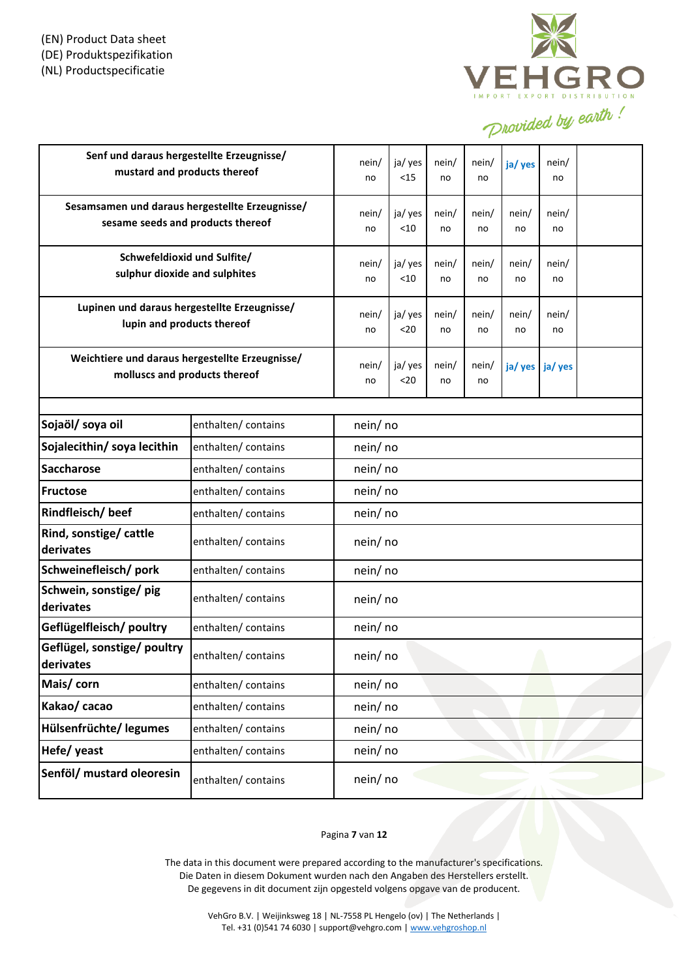

| Senf und daraus hergestellte Erzeugnisse/<br>mustard and products thereof            |                     | nein/<br>no        | ja/ yes<br>$<15$ | nein/<br>no | nein/<br>no | ja/ yes     | nein/<br>no |  |
|--------------------------------------------------------------------------------------|---------------------|--------------------|------------------|-------------|-------------|-------------|-------------|--|
| Sesamsamen und daraus hergestellte Erzeugnisse/<br>sesame seeds and products thereof |                     | nein/<br>no        | ja/ yes<br>< 10  | nein/<br>no | nein/<br>no | nein/<br>no | nein/<br>no |  |
| Schwefeldioxid und Sulfite/<br>sulphur dioxide and sulphites                         |                     | nein/<br>no        | ja/ yes<br>< 10  | nein/<br>no | nein/<br>no | nein/<br>no | nein/<br>no |  |
| Lupinen und daraus hergestellte Erzeugnisse/<br>lupin and products thereof           |                     | nein/<br>no        | ja/ yes<br>$20$  | nein/<br>no | nein/<br>no | nein/<br>no | nein/<br>no |  |
| Weichtiere und daraus hergestellte Erzeugnisse/<br>molluscs and products thereof     |                     | nein/<br>no        | ja/ yes<br>$20$  | nein/<br>no | nein/<br>no | ja/ yes     | ja/ yes     |  |
| Sojaöl/ soya oil                                                                     | enthalten/contains  |                    |                  |             |             |             |             |  |
| Sojalecithin/ soya lecithin                                                          | enthalten/ contains | nein/no<br>nein/no |                  |             |             |             |             |  |
| <b>Saccharose</b>                                                                    | enthalten/ contains | nein/no            |                  |             |             |             |             |  |
| <b>Fructose</b>                                                                      | enthalten/contains  | nein/no            |                  |             |             |             |             |  |
| Rindfleisch/beef                                                                     | enthalten/contains  | nein/no            |                  |             |             |             |             |  |
| Rind, sonstige/ cattle<br>derivates                                                  | enthalten/ contains | nein/ no           |                  |             |             |             |             |  |
| Schweinefleisch/pork                                                                 | enthalten/contains  | nein/no            |                  |             |             |             |             |  |
| Schwein, sonstige/ pig<br>derivates                                                  | enthalten/contains  | nein/ no           |                  |             |             |             |             |  |
| Geflügelfleisch/ poultry                                                             | enthalten/ contains | nein/no            |                  |             |             |             |             |  |
| Geflügel, sonstige/ poultry<br>derivates                                             | enthalten/contains  | nein/ no           |                  |             |             |             |             |  |
| Mais/corn                                                                            | enthalten/ contains | nein/no            |                  |             |             |             |             |  |
| Kakao/ cacao                                                                         | enthalten/ contains | nein/no            |                  |             |             |             |             |  |
| Hülsenfrüchte/ legumes                                                               | enthalten/ contains | nein/no            |                  |             |             |             |             |  |
| Hefe/ yeast                                                                          | enthalten/ contains | nein/no            |                  |             |             |             |             |  |
| Senföl/ mustard oleoresin                                                            | enthalten/contains  | nein/no            |                  |             |             |             |             |  |

# Pagina **7** van **12**

The data in this document were prepared according to the manufacturer's specifications. Die Daten in diesem Dokument wurden nach den Angaben des Herstellers erstellt. De gegevens in dit document zijn opgesteld volgens opgave van de producent.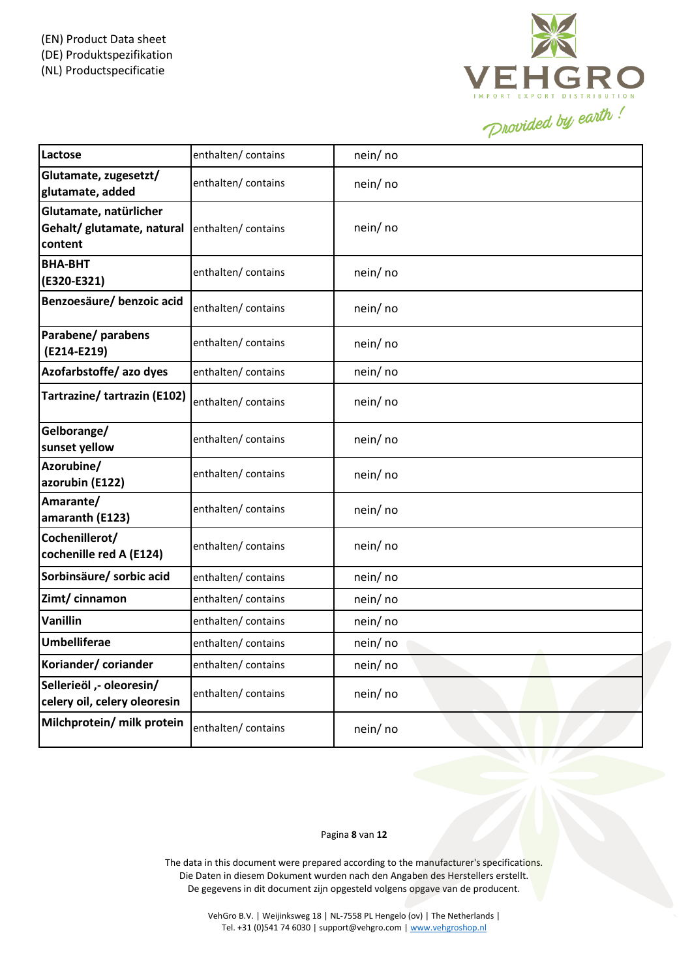

| Lactose                                                         | enthalten/ contains | nein/ no |
|-----------------------------------------------------------------|---------------------|----------|
| Glutamate, zugesetzt/<br>glutamate, added                       | enthalten/contains  | nein/ no |
| Glutamate, natürlicher<br>Gehalt/ glutamate, natural<br>content | enthalten/ contains | nein/no  |
| <b>BHA-BHT</b><br>(E320-E321)                                   | enthalten/contains  | nein/no  |
| Benzoesäure/ benzoic acid                                       | enthalten/ contains | nein/ no |
| Parabene/ parabens<br>(E214-E219)                               | enthalten/contains  | nein/no  |
| Azofarbstoffe/ azo dyes                                         | enthalten/ contains | nein/no  |
| Tartrazine/ tartrazin (E102)                                    | enthalten/ contains | nein/no  |
| Gelborange/<br>sunset yellow                                    | enthalten/contains  | nein/no  |
| Azorubine/<br>azorubin (E122)                                   | enthalten/contains  | nein/no  |
| Amarante/<br>amaranth (E123)                                    | enthalten/ contains | nein/no  |
| Cochenillerot/<br>cochenille red A (E124)                       | enthalten/ contains | nein/no  |
| Sorbinsäure/ sorbic acid                                        | enthalten/contains  | nein/no  |
| Zimt/ cinnamon                                                  | enthalten/ contains | nein/ no |
| Vanillin                                                        | enthalten/ contains | nein/no  |
| <b>Umbelliferae</b>                                             | enthalten/contains  | nein/ no |
| Koriander/coriander                                             | enthalten/ contains | nein/no  |
| Sellerieöl ,- oleoresin/<br>celery oil, celery oleoresin        | enthalten/ contains | nein/no  |
| Milchprotein/ milk protein                                      | enthalten/contains  | nein/no  |

# Pagina **8** van **12**

The data in this document were prepared according to the manufacturer's specifications. Die Daten in diesem Dokument wurden nach den Angaben des Herstellers erstellt. De gegevens in dit document zijn opgesteld volgens opgave van de producent.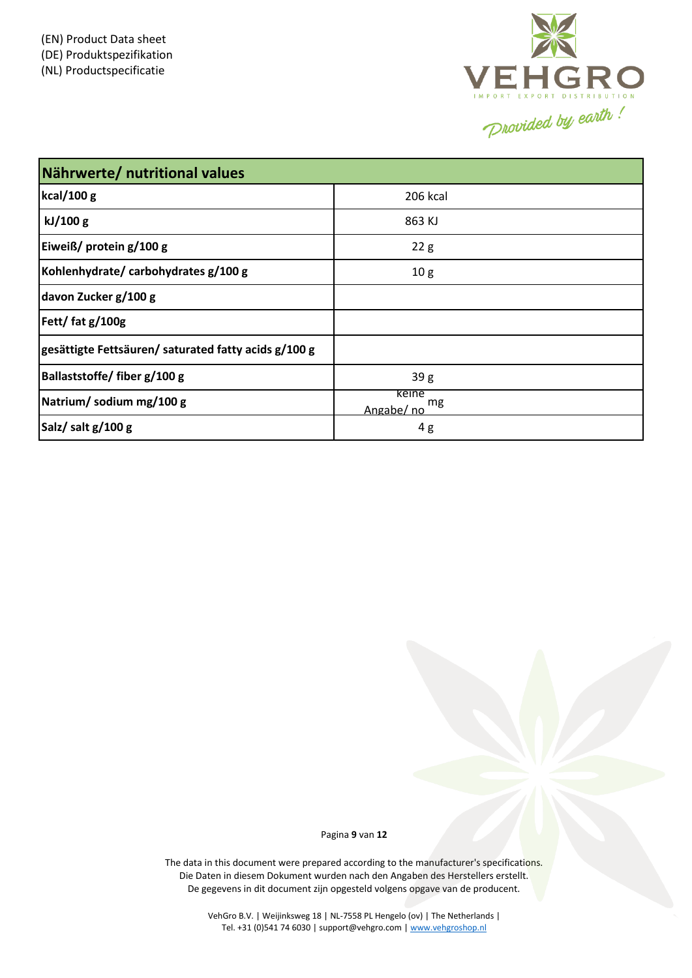

| Nährwerte/ nutritional values                       |                           |  |  |  |
|-----------------------------------------------------|---------------------------|--|--|--|
| kcal/100 g                                          | 206 kcal                  |  |  |  |
| kJ/100 g                                            | 863 KJ                    |  |  |  |
| Eiweiß/ protein g/100 g                             | 22g                       |  |  |  |
| Kohlenhydrate/carbohydrates g/100 g                 | 10 <sub>g</sub>           |  |  |  |
| davon Zucker g/100 g                                |                           |  |  |  |
| Fett/fat g/100g                                     |                           |  |  |  |
| gesättigte Fettsäuren/saturated fatty acids g/100 g |                           |  |  |  |
| Ballaststoffe/ fiber g/100 g                        | 39 g                      |  |  |  |
| Natrium/sodium mg/100 g                             | keine<br>mg<br>Angabe/ no |  |  |  |
| Salz/salt g/100 g                                   | 4g                        |  |  |  |

Pagina **9** van **12**

The data in this document were prepared according to the manufacturer's specifications. Die Daten in diesem Dokument wurden nach den Angaben des Herstellers erstellt. De gegevens in dit document zijn opgesteld volgens opgave van de producent.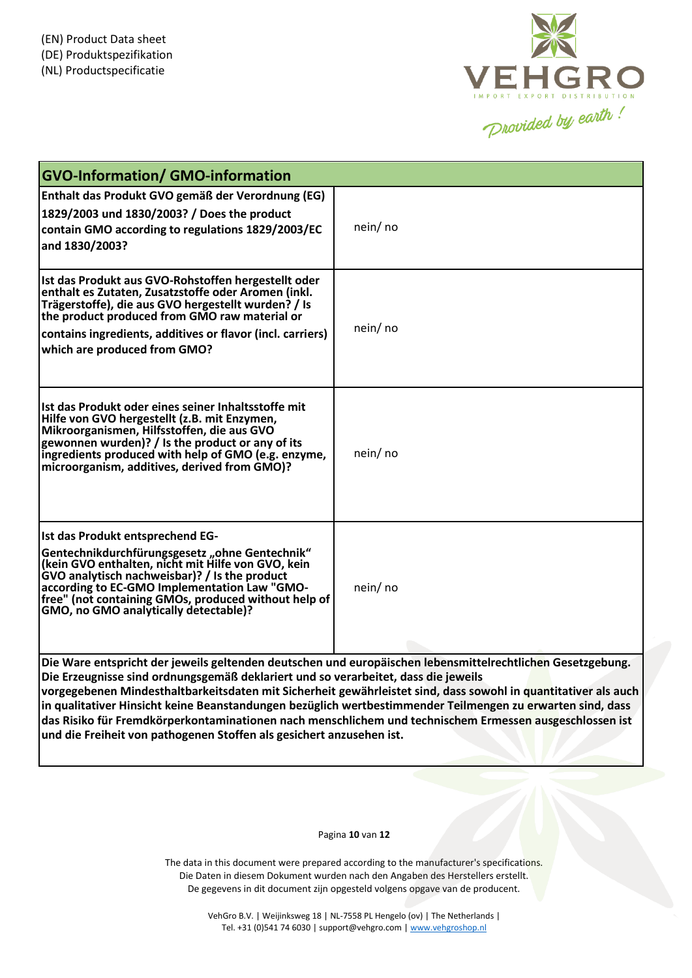

| <b>GVO-Information/ GMO-information</b>                                                                                                                                                                                                                                                                                                    |                                                                                                                                                                                                                                                                                                                                                                                                                                                       |
|--------------------------------------------------------------------------------------------------------------------------------------------------------------------------------------------------------------------------------------------------------------------------------------------------------------------------------------------|-------------------------------------------------------------------------------------------------------------------------------------------------------------------------------------------------------------------------------------------------------------------------------------------------------------------------------------------------------------------------------------------------------------------------------------------------------|
| Enthalt das Produkt GVO gemäß der Verordnung (EG)<br>1829/2003 und 1830/2003? / Does the product<br>contain GMO according to regulations 1829/2003/EC<br>and 1830/2003?                                                                                                                                                                    | nein/no                                                                                                                                                                                                                                                                                                                                                                                                                                               |
| Ist das Produkt aus GVO-Rohstoffen hergestellt oder<br>enthalt es Zutaten, Zusatzstoffe oder Aromen (inkl.<br>Trägerstoffe), die aus GVO hergestellt wurden? / Is<br>the product produced from GMO raw material or<br>contains ingredients, additives or flavor (incl. carriers)<br>which are produced from GMO?                           | nein/ no                                                                                                                                                                                                                                                                                                                                                                                                                                              |
| llst das Produkt oder eines seiner Inhaltsstoffe mit<br>Hilfe von GVO hergestellt (z.B. mit Enzymen,<br>Mikroorganismen, Hilfsstoffen, die aus GVO<br>gewonnen wurden)? / Is the product or any of its<br>ingredients produced with help of GMO (e.g. enzyme,<br>microorganism, additives, derived from GMO)?                              | nein/ no                                                                                                                                                                                                                                                                                                                                                                                                                                              |
| Ist das Produkt entsprechend EG-<br>Gentechnikdurchfürungsgesetz "ohne Gentechnik"<br>(kein GVO enthalten, nicht mit Hilfe von GVO, kein<br>GVO analytisch nachweisbar)? / Is the product<br>according to EC-GMO Implementation Law "GMO-<br>free" (not containing GMOs, produced without help of<br>GMO, no GMO analytically detectable)? | nein/ no                                                                                                                                                                                                                                                                                                                                                                                                                                              |
| Die Erzeugnisse sind ordnungsgemäß deklariert und so verarbeitet, dass die jeweils<br>und die Freiheit von pathogenen Stoffen als gesichert anzusehen ist.                                                                                                                                                                                 | Die Ware entspricht der jeweils geltenden deutschen und europäischen lebensmittelrechtlichen Gesetzgebung.<br>vorgegebenen Mindesthaltbarkeitsdaten mit Sicherheit gewährleistet sind, dass sowohl in quantitativer als auch<br>in qualitativer Hinsicht keine Beanstandungen bezüglich wertbestimmender Teilmengen zu erwarten sind, dass<br>das Risiko für Fremdkörperkontaminationen nach menschlichem und technischem Ermessen ausgeschlossen ist |

Pagina **10** van **12**

The data in this document were prepared according to the manufacturer's specifications. Die Daten in diesem Dokument wurden nach den Angaben des Herstellers erstellt. De gegevens in dit document zijn opgesteld volgens opgave van de producent.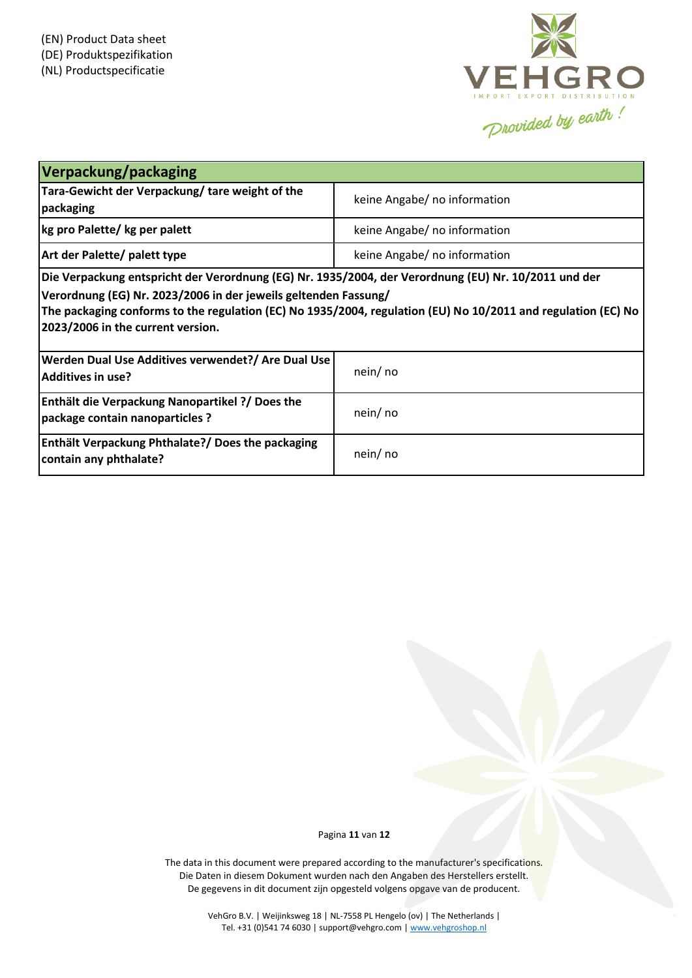

| Verpackung/packaging                                                                                                                                                                                                                                                                                                          |                              |
|-------------------------------------------------------------------------------------------------------------------------------------------------------------------------------------------------------------------------------------------------------------------------------------------------------------------------------|------------------------------|
| Tara-Gewicht der Verpackung/tare weight of the<br>packaging                                                                                                                                                                                                                                                                   | keine Angabe/ no information |
| kg pro Palette/ kg per palett                                                                                                                                                                                                                                                                                                 | keine Angabe/ no information |
| Art der Palette/ palett type                                                                                                                                                                                                                                                                                                  | keine Angabe/ no information |
| Die Verpackung entspricht der Verordnung (EG) Nr. 1935/2004, der Verordnung (EU) Nr. 10/2011 und der<br>Verordnung (EG) Nr. 2023/2006 in der jeweils geltenden Fassung/<br>The packaging conforms to the regulation (EC) No 1935/2004, regulation (EU) No 10/2011 and regulation (EC) No<br>2023/2006 in the current version. |                              |
| Werden Dual Use Additives verwendet?/ Are Dual Use<br><b>Additives in use?</b>                                                                                                                                                                                                                                                | nein/ no                     |
| <b>Enthält die Verpackung Nanopartikel ?/ Does the</b><br>package contain nanoparticles ?                                                                                                                                                                                                                                     | nein/ no                     |
| <b>Enthält Verpackung Phthalate?/ Does the packaging</b><br>contain any phthalate?                                                                                                                                                                                                                                            | nein/ no                     |

Pagina **11** van **12**

The data in this document were prepared according to the manufacturer's specifications. Die Daten in diesem Dokument wurden nach den Angaben des Herstellers erstellt. De gegevens in dit document zijn opgesteld volgens opgave van de producent.